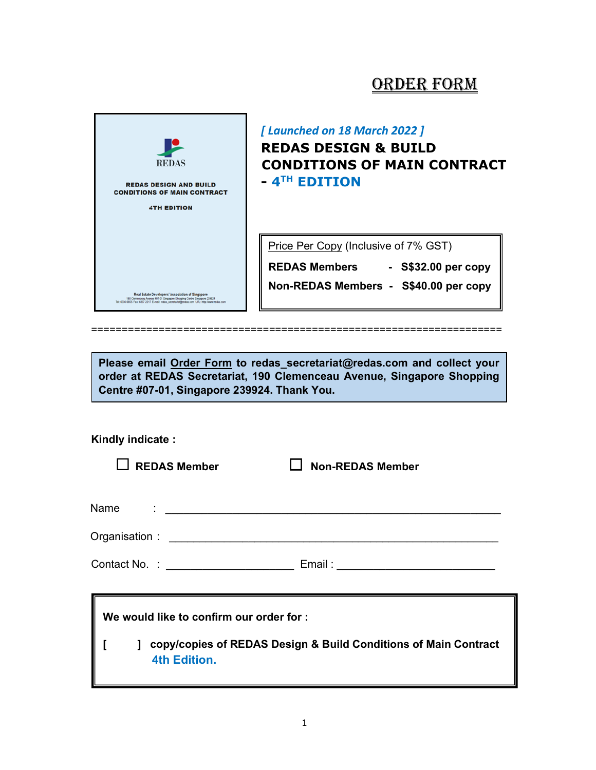# ORDER FORM



[ Launched on 18 March 2022 ] REDAS DESIGN & BUILD CONDITIONS OF MAIN CONTRACT - 4<sup>th</sup> Edition

Price Per Copy (Inclusive of 7% GST)

REDAS Members - S\$32.00 per copy Non-REDAS Members - S\$40.00 per copy

===================================================================

Please email Order Form to redas\_secretariat@redas.com and collect your order at REDAS Secretariat, 190 Clemenceau Avenue, Singapore Shopping Centre #07-01, Singapore 239924. Thank You.

### Kindly indicate :

 $\Box$  Non-REDAS Member

| Name | ٠ |  |
|------|---|--|
|      |   |  |

| Organisation: |  |
|---------------|--|
|               |  |

Contact No. : \_\_\_\_\_\_\_\_\_\_\_\_\_\_\_\_\_\_\_\_\_ Email : \_\_\_\_\_\_\_\_\_\_\_\_\_\_\_\_\_\_\_\_\_\_\_\_\_\_

| We would like to confirm our order for : |  |                                                                                          |  |  |  |  |
|------------------------------------------|--|------------------------------------------------------------------------------------------|--|--|--|--|
|                                          |  | 1 copy/copies of REDAS Design & Build Conditions of Main Contract<br><b>4th Edition.</b> |  |  |  |  |